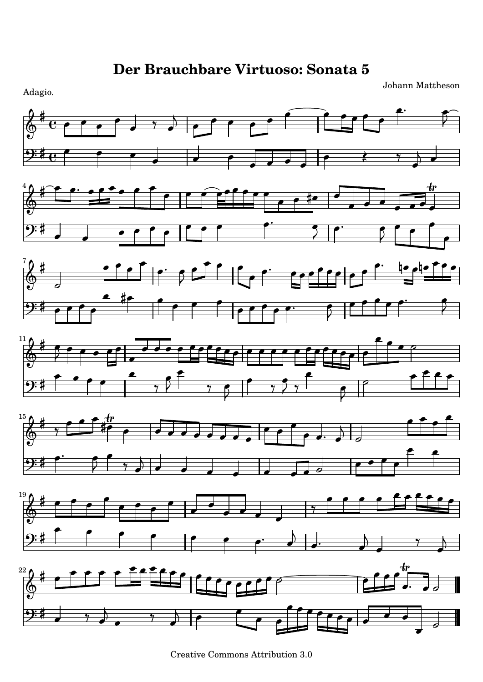

Johann Mattheson



Creative Commons Attribution 3.0

Adagio.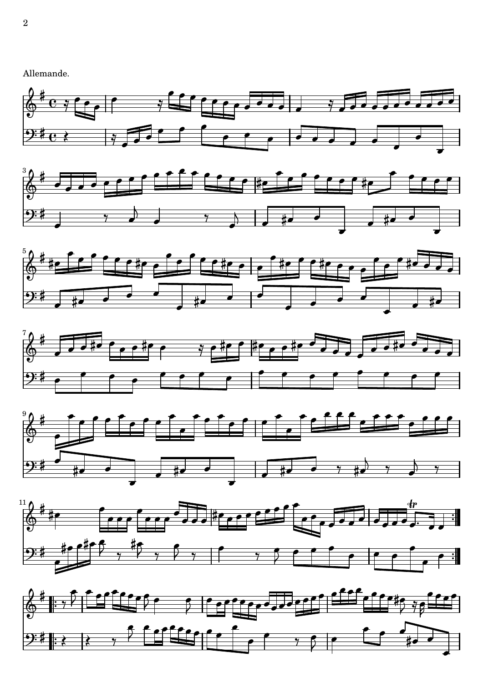Allemande.













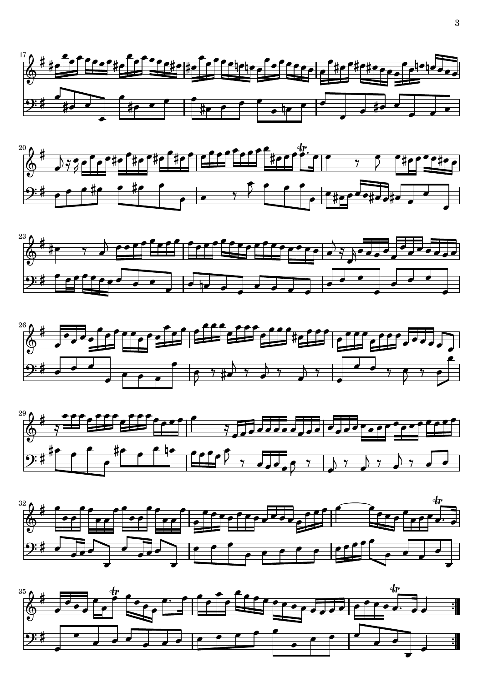











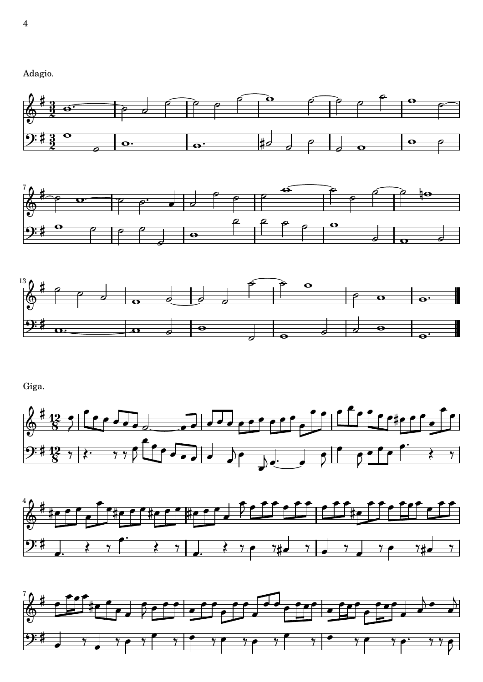Adagio.





Giga.



![](_page_3_Figure_5.jpeg)

![](_page_3_Figure_6.jpeg)